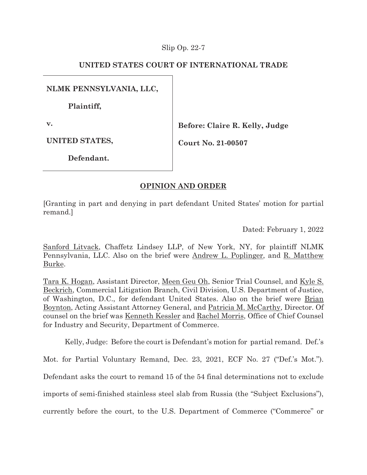### Slip Op. 22-7

## **UNITED STATES COURT OF INTERNATIONAL TRADE**

**NLMK PENNSYLVANIA, LLC,** 

**Plaintiff,** 

**v.** 

**Before: Claire R. Kelly, Judge** 

**UNITED STATES,** 

**Court No. 21-00507** 

**Defendant.** 

# **OPINION AND ORDER**

[Granting in part and denying in part defendant United States' motion for partial remand.]

Dated: February 1, 2022

Sanford Litvack, Chaffetz Lindsey LLP, of New York, NY, for plaintiff NLMK Pennsylvania, LLC. Also on the brief were Andrew L. Poplinger, and R. Matthew Burke.

Tara K. Hogan, Assistant Director, Meen Geu Oh, Senior Trial Counsel, and Kyle S. Beckrich, Commercial Litigation Branch, Civil Division, U.S. Department of Justice, of Washington, D.C., for defendant United States. Also on the brief were Brian Boynton, Acting Assistant Attorney General, and Patricia M. McCarthy, Director. Of counsel on the brief was Kenneth Kessler and Rachel Morris, Office of Chief Counsel for Industry and Security, Department of Commerce.

Kelly, Judge: Before the court is Defendant's motion for partial remand. Def.'s

Mot. for Partial Voluntary Remand, Dec. 23, 2021, ECF No. 27 ("Def.'s Mot.").

Defendant asks the court to remand 15 of the 54 final determinations not to exclude

imports of semi-finished stainless steel slab from Russia (the "Subject Exclusions"),

currently before the court, to the U.S. Department of Commerce ("Commerce" or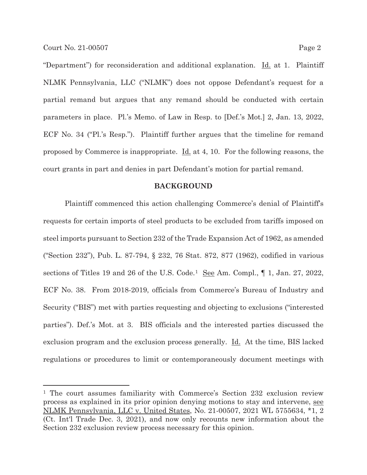"Department") for reconsideration and additional explanation. <u>Id.</u> at 1. Plaintiff NLMK Pennsylvania, LLC ("NLMK") does not oppose Defendant's request for a partial remand but argues that any remand should be conducted with certain parameters in place. Pl.'s Memo. of Law in Resp. to [Def.'s Mot.] 2, Jan. 13, 2022, ECF No. 34 ("Pl.'s Resp."). Plaintiff further argues that the timeline for remand proposed by Commerce is inappropriate. Id. at 4, 10. For the following reasons, the court grants in part and denies in part Defendant's motion for partial remand.

#### **BACKGROUND**

 Plaintiff commenced this action challenging Commerce's denial of Plaintiff's requests for certain imports of steel products to be excluded from tariffs imposed on steel imports pursuant to Section 232 of the Trade Expansion Act of 1962, as amended ("Section 232"), Pub. L. 87-794, § 232, 76 Stat. 872, 877 (1962), codified in various sections of Titles 19 and 26 of the U.S. Code.<sup>1</sup> See Am. Compl., 1, Jan. 27, 2022, ECF No. 38. From 2018-2019, officials from Commerce's Bureau of Industry and Security ("BIS") met with parties requesting and objecting to exclusions ("interested parties"). Def.'s Mot. at 3. BIS officials and the interested parties discussed the exclusion program and the exclusion process generally. Id. At the time, BIS lacked regulations or procedures to limit or contemporaneously document meetings with

<sup>1</sup> The court assumes familiarity with Commerce's Section 232 exclusion review process as explained in its prior opinion denying motions to stay and intervene, see NLMK Pennsylvania, LLC v. United States, No. 21-00507, 2021 WL 5755634, \*1, 2 (Ct. Int'l Trade Dec. 3, 2021), and now only recounts new information about the Section 232 exclusion review process necessary for this opinion.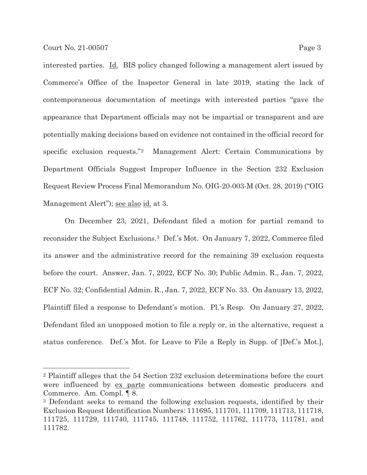interested parties. Id. BIS policy changed following a management alert issued by Commerce's Office of the Inspector General in late 2019, stating the lack of contemporaneous documentation of meetings with interested parties "gave the appearance that Department officials may not be impartial or transparent and are potentially making decisions based on evidence not contained in the official record for specific exclusion requests."2 Management Alert: Certain Communications by Department Officials Suggest Improper Influence in the Section 232 Exclusion Request Review Process Final Memorandum No. OIG-20-003-M (Oct. 28, 2019) ("OIG Management Alert"); see also id. at 3.

On December 23, 2021, Defendant filed a motion for partial remand to reconsider the Subject Exclusions.3 Def.'s Mot. On January 7, 2022, Commerce filed its answer and the administrative record for the remaining 39 exclusion requests before the court. Answer, Jan. 7, 2022, ECF No. 30; Public Admin. R., Jan. 7, 2022, ECF No. 32; Confidential Admin. R., Jan. 7, 2022, ECF No. 33. On January 13, 2022, Plaintiff filed a response to Defendant's motion. Pl.'s Resp. On January 27, 2022, Defendant filed an unopposed motion to file a reply or, in the alternative, request a status conference. Def.'s Mot. for Leave to File a Reply in Supp. of [Def.'s Mot.],

<sup>2</sup> Plaintiff alleges that the 54 Section 232 exclusion determinations before the court were influenced by ex parte communications between domestic producers and Commerce. Am. Compl. ¶ 8.

<sup>3</sup> Defendant seeks to remand the following exclusion requests, identified by their Exclusion Request Identification Numbers: 111695, 111701, 111709, 111713, 111718, 111725, 111729, 111740, 111745, 111748, 111752, 111762, 111773, 111781, and 111782.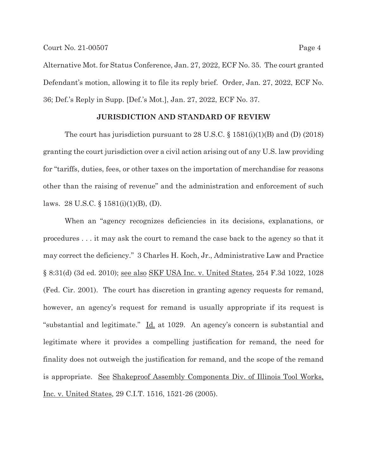Alternative Mot. for Status Conference, Jan. 27, 2022, ECF No. 35. The court granted Defendant's motion, allowing it to file its reply brief. Order, Jan. 27, 2022, ECF No. 36; Def.'s Reply in Supp. [Def.'s Mot.], Jan. 27, 2022, ECF No. 37.

#### **JURISDICTION AND STANDARD OF REVIEW**

The court has jurisdiction pursuant to 28 U.S.C.  $\S 1581(i)(1)(B)$  and (D) (2018) granting the court jurisdiction over a civil action arising out of any U.S. law providing for "tariffs, duties, fees, or other taxes on the importation of merchandise for reasons other than the raising of revenue" and the administration and enforcement of such laws. 28 U.S.C. § 1581(i)(1)(B), (D).

When an "agency recognizes deficiencies in its decisions, explanations, or procedures . . . it may ask the court to remand the case back to the agency so that it may correct the deficiency." 3 Charles H. Koch, Jr., Administrative Law and Practice § 8:31(d) (3d ed. 2010); see also SKF USA Inc. v. United States, 254 F.3d 1022, 1028 (Fed. Cir. 2001). The court has discretion in granting agency requests for remand, however, an agency's request for remand is usually appropriate if its request is "substantial and legitimate." Id. at 1029. An agency's concern is substantial and legitimate where it provides a compelling justification for remand, the need for finality does not outweigh the justification for remand, and the scope of the remand is appropriate. See Shakeproof Assembly Components Div. of Illinois Tool Works, Inc. v. United States, 29 C.I.T. 1516, 1521-26 (2005).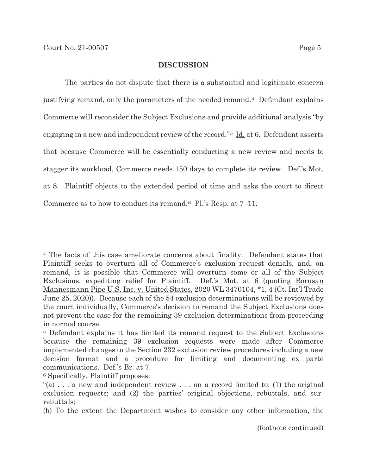### **DISCUSSION**

The parties do not dispute that there is a substantial and legitimate concern justifying remand, only the parameters of the needed remand.4 Defendant explains Commerce will reconsider the Subject Exclusions and provide additional analysis "by engaging in a new and independent review of the record."<sup>5</sup> Id. at 6. Defendant asserts that because Commerce will be essentially conducting a new review and needs to stagger its workload, Commerce needs 150 days to complete its review. Def.'s Mot. at 8. Plaintiff objects to the extended period of time and asks the court to direct Commerce as to how to conduct its remand.6 Pl.'s Resp. at 7–11.

<sup>4</sup> The facts of this case ameliorate concerns about finality. Defendant states that Plaintiff seeks to overturn all of Commerce's exclusion request denials, and, on remand, it is possible that Commerce will overturn some or all of the Subject Exclusions, expediting relief for Plaintiff. Def.'s Mot. at 6 (quoting Borusan Mannesmann Pipe U.S. Inc. v. United States, 2020 WL 3470104, \*1, 4 (Ct. Int'l Trade June 25, 2020)). Because each of the 54 exclusion determinations will be reviewed by the court individually, Commerce's decision to remand the Subject Exclusions does not prevent the case for the remaining 39 exclusion determinations from proceeding in normal course.

<sup>5</sup> Defendant explains it has limited its remand request to the Subject Exclusions because the remaining 39 exclusion requests were made after Commerce implemented changes to the Section 232 exclusion review procedures including a new decision format and a procedure for limiting and documenting <u>ex parte</u> communications. Def.'s Br. at 7.

<sup>6</sup> Specifically, Plaintiff proposes:

<sup>&</sup>quot;(a) . . . a new and independent review . . . on a record limited to: (1) the original exclusion requests; and (2) the parties' original objections, rebuttals, and surrebuttals;

<sup>(</sup>b) To the extent the Department wishes to consider any other information, the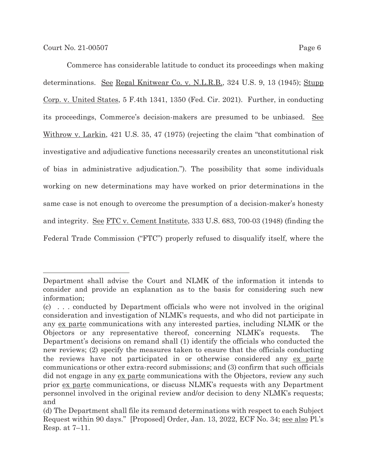Commerce has considerable latitude to conduct its proceedings when making determinations. <u>See Regal Knitwear Co. v. N.L.R.B.</u>, 324 U.S. 9, 13 (1945); Stupp Corp. v. United States, 5 F.4th 1341, 1350 (Fed. Cir. 2021). Further, in conducting its proceedings, Commerce's decision-makers are presumed to be unbiased. See Withrow v. Larkin, 421 U.S. 35, 47 (1975) (rejecting the claim "that combination of investigative and adjudicative functions necessarily creates an unconstitutional risk of bias in administrative adjudication."). The possibility that some individuals working on new determinations may have worked on prior determinations in the same case is not enough to overcome the presumption of a decision-maker's honesty and integrity. See FTC v. Cement Institute, 333 U.S. 683, 700-03 (1948) (finding the Federal Trade Commission ("FTC") properly refused to disqualify itself, where the

Department shall advise the Court and NLMK of the information it intends to consider and provide an explanation as to the basis for considering such new information;

<sup>(</sup>c) . . . conducted by Department officials who were not involved in the original consideration and investigation of NLMK's requests, and who did not participate in any ex parte communications with any interested parties, including NLMK or the Objectors or any representative thereof, concerning NLMK's requests. The Department's decisions on remand shall (1) identify the officials who conducted the new reviews; (2) specify the measures taken to ensure that the officials conducting the reviews have not participated in or otherwise considered any ex parte communications or other extra-record submissions; and (3) confirm that such officials did not engage in any ex parte communications with the Objectors, review any such prior ex parte communications, or discuss NLMK's requests with any Department personnel involved in the original review and/or decision to deny NLMK's requests; and

<sup>(</sup>d) The Department shall file its remand determinations with respect to each Subject Request within 90 days." [Proposed] Order, Jan. 13, 2022, ECF No. 34; see also Pl.'s Resp. at 7–11.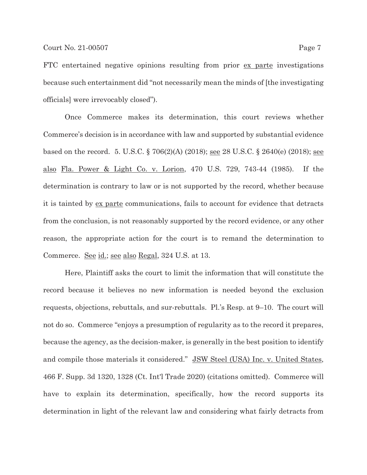FTC entertained negative opinions resulting from prior ex parte investigations because such entertainment did "not necessarily mean the minds of [the investigating officials] were irrevocably closed").

Once Commerce makes its determination, this court reviews whether Commerce's decision is in accordance with law and supported by substantial evidence based on the record. 5. U.S.C. § 706(2)(A) (2018); see 28 U.S.C. § 2640(e) (2018); see also Fla. Power & Light Co. v. Lorion, 470 U.S. 729, 743-44 (1985). If the determination is contrary to law or is not supported by the record, whether because it is tainted by ex parte communications, fails to account for evidence that detracts from the conclusion, is not reasonably supported by the record evidence, or any other reason, the appropriate action for the court is to remand the determination to Commerce. See id.; see also Regal, 324 U.S. at 13.

Here, Plaintiff asks the court to limit the information that will constitute the record because it believes no new information is needed beyond the exclusion requests, objections, rebuttals, and sur-rebuttals. Pl.'s Resp. at 9–10. The court will not do so. Commerce "enjoys a presumption of regularity as to the record it prepares, because the agency, as the decision-maker, is generally in the best position to identify and compile those materials it considered." JSW Steel (USA) Inc. v. United States, 466 F. Supp. 3d 1320, 1328 (Ct. Int'l Trade 2020) (citations omitted). Commerce will have to explain its determination, specifically, how the record supports its determination in light of the relevant law and considering what fairly detracts from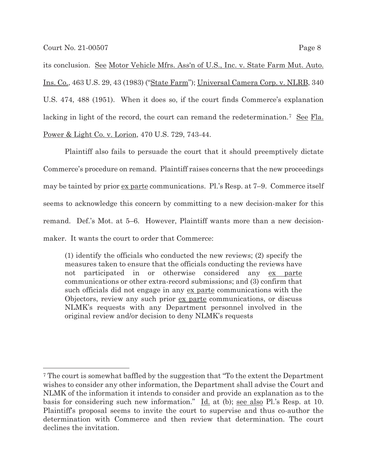its conclusion. See Motor Vehicle Mfrs. Ass'n of U.S., Inc. v. State Farm Mut. Auto. Ins. Co., 463 U.S. 29, 43 (1983) ("State Farm"); Universal Camera Corp. v. NLRB, 340 U.S. 474, 488 (1951). When it does so, if the court finds Commerce's explanation lacking in light of the record, the court can remand the redetermination.<sup>7</sup> See Fla. Power & Light Co. v. Lorion, 470 U.S. 729, 743-44.

Plaintiff also fails to persuade the court that it should preemptively dictate Commerce's procedure on remand. Plaintiff raises concerns that the new proceedings may be tainted by prior ex parte communications. Pl.'s Resp. at 7-9. Commerce itself seems to acknowledge this concern by committing to a new decision-maker for this remand. Def.'s Mot. at 5–6. However, Plaintiff wants more than a new decisionmaker. It wants the court to order that Commerce:

(1) identify the officials who conducted the new reviews; (2) specify the measures taken to ensure that the officials conducting the reviews have not participated in or otherwise considered any ex parte communications or other extra-record submissions; and (3) confirm that such officials did not engage in any ex parte communications with the Objectors, review any such prior ex parte communications, or discuss NLMK's requests with any Department personnel involved in the original review and/or decision to deny NLMK's requests

<sup>7</sup> The court is somewhat baffled by the suggestion that "To the extent the Department wishes to consider any other information, the Department shall advise the Court and NLMK of the information it intends to consider and provide an explanation as to the basis for considering such new information." Id. at (b); see also Pl.'s Resp. at 10. Plaintiff's proposal seems to invite the court to supervise and thus co-author the determination with Commerce and then review that determination. The court declines the invitation.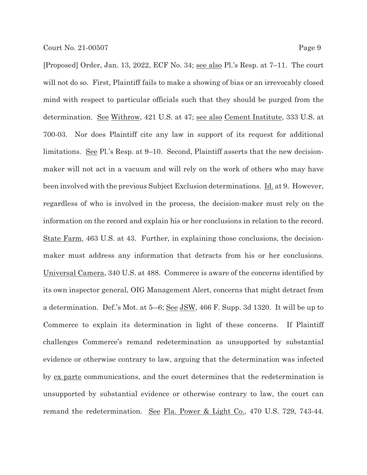[Proposed] Order, Jan. 13, 2022, ECF No. 34; see also Pl.'s Resp. at 7–11. The court will not do so. First, Plaintiff fails to make a showing of bias or an irrevocably closed mind with respect to particular officials such that they should be purged from the determination. See Withrow, 421 U.S. at 47; see also Cement Institute, 333 U.S. at 700-03. Nor does Plaintiff cite any law in support of its request for additional limitations. See Pl.'s Resp. at 9–10. Second, Plaintiff asserts that the new decisionmaker will not act in a vacuum and will rely on the work of others who may have been involved with the previous Subject Exclusion determinations. Id. at 9. However, regardless of who is involved in the process, the decision-maker must rely on the information on the record and explain his or her conclusions in relation to the record. State Farm, 463 U.S. at 43. Further, in explaining those conclusions, the decisionmaker must address any information that detracts from his or her conclusions. Universal Camera, 340 U.S. at 488. Commerce is aware of the concerns identified by its own inspector general, OIG Management Alert, concerns that might detract from a determination. Def.'s Mot. at  $5-6$ ; <u>See JSW</u>, 466 F. Supp. 3d 1320. It will be up to Commerce to explain its determination in light of these concerns. If Plaintiff challenges Commerce's remand redetermination as unsupported by substantial evidence or otherwise contrary to law, arguing that the determination was infected by ex parte communications, and the court determines that the redetermination is unsupported by substantial evidence or otherwise contrary to law, the court can remand the redetermination. See Fla. Power & Light Co., 470 U.S. 729, 743-44.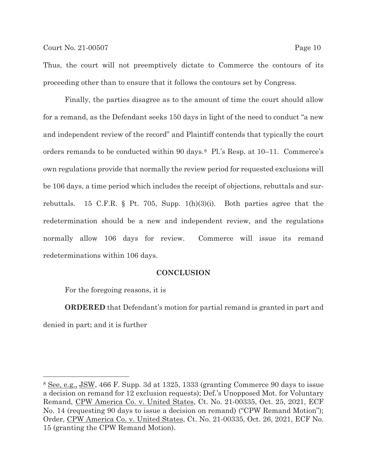Thus, the court will not preemptively dictate to Commerce the contours of its proceeding other than to ensure that it follows the contours set by Congress.

Finally, the parties disagree as to the amount of time the court should allow for a remand, as the Defendant seeks 150 days in light of the need to conduct "a new and independent review of the record" and Plaintiff contends that typically the court orders remands to be conducted within 90 days.8 Pl.'s Resp. at 10–11. Commerce's own regulations provide that normally the review period for requested exclusions will be 106 days, a time period which includes the receipt of objections, rebuttals and surrebuttals. 15 C.F.R. § Pt. 705, Supp.  $1(h)(3)(i)$ . Both parties agree that the redetermination should be a new and independent review, and the regulations normally allow 106 days for review. Commerce will issue its remand redeterminations within 106 days.

#### **CONCLUSION**

For the foregoing reasons, it is

 $\overline{a}$ 

**ORDERED** that Defendant's motion for partial remand is granted in part and denied in part; and it is further

<sup>8</sup> See, e.g., JSW, 466 F. Supp. 3d at 1325, 1333 (granting Commerce 90 days to issue a decision on remand for 12 exclusion requests); Def.'s Unopposed Mot. for Voluntary Remand, CPW America Co. v. United States, Ct. No. 21-00335, Oct. 25, 2021, ECF No. 14 (requesting 90 days to issue a decision on remand) ("CPW Remand Motion"); Order, CPW America Co. v. United States, Ct. No. 21-00335, Oct. 26, 2021, ECF No. 15 (granting the CPW Remand Motion).